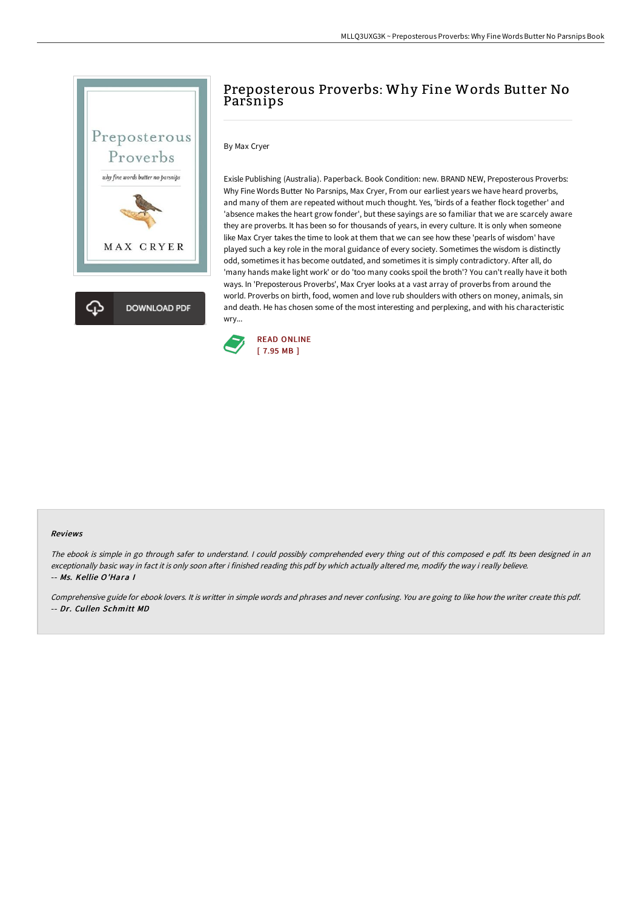

# Preposterous Proverbs: Why Fine Words Butter No **Parsnips**

## By Max Cryer

Exisle Publishing (Australia). Paperback. Book Condition: new. BRAND NEW, Preposterous Proverbs: Why Fine Words Butter No Parsnips, Max Cryer, From our earliest years we have heard proverbs, and many of them are repeated without much thought. Yes, 'birds of a feather flock together' and 'absence makes the heart grow fonder', but these sayings are so familiar that we are scarcely aware they are proverbs. It has been so for thousands of years, in every culture. It is only when someone like Max Cryer takes the time to look at them that we can see how these 'pearls of wisdom' have played such a key role in the moral guidance of every society. Sometimes the wisdom is distinctly odd, sometimes it has become outdated, and sometimes it is simply contradictory. After all, do 'many hands make light work' or do 'too many cooks spoil the broth'? You can't really have it both ways. In 'Preposterous Proverbs', Max Cryer looks at a vast array of proverbs from around the world. Proverbs on birth, food, women and love rub shoulders with others on money, animals, sin and death. He has chosen some of the most interesting and perplexing, and with his characteristic wry...



#### Reviews

The ebook is simple in go through safer to understand. <sup>I</sup> could possibly comprehended every thing out of this composed <sup>e</sup> pdf. Its been designed in an exceptionally basic way in fact it is only soon after i finished reading this pdf by which actually altered me, modify the way i really believe. -- Ms. Kellie O'Hara I

Comprehensive guide for ebook lovers. It is writter in simple words and phrases and never confusing. You are going to like how the writer create this pdf. -- Dr. Cullen Schmitt MD